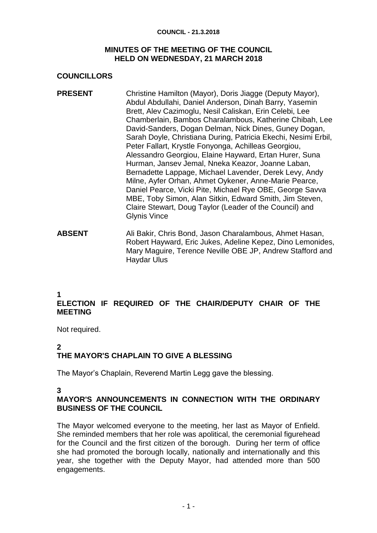#### **COUNCIL - 21.3.2018**

#### **MINUTES OF THE MEETING OF THE COUNCIL HELD ON WEDNESDAY, 21 MARCH 2018**

### **COUNCILLORS**

- **PRESENT** Christine Hamilton (Mayor), Doris Jiagge (Deputy Mayor), Abdul Abdullahi, Daniel Anderson, Dinah Barry, Yasemin Brett, Alev Cazimoglu, Nesil Caliskan, Erin Celebi, Lee Chamberlain, Bambos Charalambous, Katherine Chibah, Lee David-Sanders, Dogan Delman, Nick Dines, Guney Dogan, Sarah Doyle, Christiana During, Patricia Ekechi, Nesimi Erbil, Peter Fallart, Krystle Fonyonga, Achilleas Georgiou, Alessandro Georgiou, Elaine Hayward, Ertan Hurer, Suna Hurman, Jansev Jemal, Nneka Keazor, Joanne Laban, Bernadette Lappage, Michael Lavender, Derek Levy, Andy Milne, Ayfer Orhan, Ahmet Oykener, Anne-Marie Pearce, Daniel Pearce, Vicki Pite, Michael Rye OBE, George Savva MBE, Toby Simon, Alan Sitkin, Edward Smith, Jim Steven, Claire Stewart, Doug Taylor (Leader of the Council) and Glynis Vince
- **ABSENT** Ali Bakir, Chris Bond, Jason Charalambous, Ahmet Hasan, Robert Hayward, Eric Jukes, Adeline Kepez, Dino Lemonides, Mary Maguire, Terence Neville OBE JP, Andrew Stafford and Haydar Ulus

#### **1**

# **ELECTION IF REQUIRED OF THE CHAIR/DEPUTY CHAIR OF THE MEETING**

Not required.

## **2**

# **THE MAYOR'S CHAPLAIN TO GIVE A BLESSING**

The Mayor's Chaplain, Reverend Martin Legg gave the blessing.

#### **3**

## **MAYOR'S ANNOUNCEMENTS IN CONNECTION WITH THE ORDINARY BUSINESS OF THE COUNCIL**

The Mayor welcomed everyone to the meeting, her last as Mayor of Enfield. She reminded members that her role was apolitical, the ceremonial figurehead for the Council and the first citizen of the borough. During her term of office she had promoted the borough locally, nationally and internationally and this year, she together with the Deputy Mayor, had attended more than 500 engagements.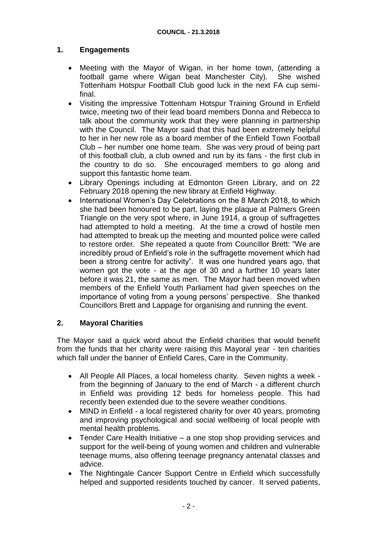### **1. Engagements**

- Meeting with the Mayor of Wigan, in her home town, (attending a football game where Wigan beat Manchester City). She wished Tottenham Hotspur Football Club good luck in the next FA cup semifinal.
- Visiting the impressive Tottenham Hotspur Training Ground in Enfield twice, meeting two of their lead board members Donna and Rebecca to talk about the community work that they were planning in partnership with the Council. The Mayor said that this had been extremely helpful to her in her new role as a board member of the Enfield Town Football Club – her number one home team. She was very proud of being part of this football club, a club owned and run by its fans - the first club in the country to do so. She encouraged members to go along and support this fantastic home team.
- Library Openings including at Edmonton Green Library, and on 22 February 2018 opening the new library at Enfield Highway.
- International Women's Day Celebrations on the 8 March 2018, to which she had been honoured to be part, laying the plaque at Palmers Green Triangle on the very spot where, in June 1914, a group of suffragettes had attempted to hold a meeting. At the time a crowd of hostile men had attempted to break up the meeting and mounted police were called to restore order. She repeated a quote from Councillor Brett: "We are incredibly proud of Enfield's role in the suffragette movement which had been a strong centre for activity". It was one hundred years ago, that women got the vote - at the age of 30 and a further 10 years later before it was 21, the same as men. The Mayor had been moved when members of the Enfield Youth Parliament had given speeches on the importance of voting from a young persons' perspective. She thanked Councillors Brett and Lappage for organising and running the event.

#### **2. Mayoral Charities**

The Mayor said a quick word about the Enfield charities that would benefit from the funds that her charity were raising this Mayoral year - ten charities which fall under the banner of Enfield Cares, Care in the Community.

- All People All Places, a local homeless charity. Seven nights a week from the beginning of January to the end of March - a different church in Enfield was providing 12 beds for homeless people. This had recently been extended due to the severe weather conditions.
- MIND in Enfield a local registered charity for over 40 years, promoting and improving psychological and social wellbeing of local people with mental health problems.
- Tender Care Health Initiative a one stop shop providing services and support for the well-being of young women and children and vulnerable teenage mums, also offering teenage pregnancy antenatal classes and advice.
- The Nightingale Cancer Support Centre in Enfield which successfully helped and supported residents touched by cancer. It served patients,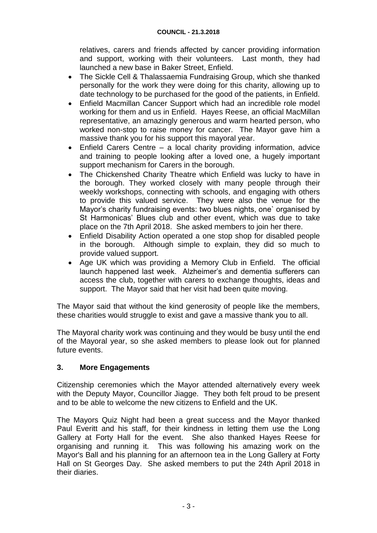relatives, carers and friends affected by cancer providing information and support, working with their volunteers. Last month, they had launched a new base in Baker Street, Enfield.

- The Sickle Cell & Thalassaemia Fundraising Group, which she thanked personally for the work they were doing for this charity, allowing up to date technology to be purchased for the good of the patients, in Enfield.
- Enfield Macmillan Cancer Support which had an incredible role model working for them and us in Enfield. Hayes Reese, an official MacMillan representative, an amazingly generous and warm hearted person, who worked non-stop to raise money for cancer. The Mayor gave him a massive thank you for his support this mayoral year.
- Enfield Carers Centre a local charity providing information, advice and training to people looking after a loved one, a hugely important support mechanism for Carers in the borough.
- The Chickenshed Charity Theatre which Enfield was lucky to have in the borough. They worked closely with many people through their weekly workshops, connecting with schools, and engaging with others to provide this valued service. They were also the venue for the Mayor's charity fundraising events: two blues nights, one` organised by St Harmonicas' Blues club and other event, which was due to take place on the 7th April 2018. She asked members to join her there.
- Enfield Disability Action operated a one stop shop for disabled people in the borough. Although simple to explain, they did so much to provide valued support.
- Age UK which was providing a Memory Club in Enfield. The official launch happened last week. Alzheimer's and dementia sufferers can access the club, together with carers to exchange thoughts, ideas and support. The Mayor said that her visit had been quite moving.

The Mayor said that without the kind generosity of people like the members, these charities would struggle to exist and gave a massive thank you to all.

The Mayoral charity work was continuing and they would be busy until the end of the Mayoral year, so she asked members to please look out for planned future events.

## **3. More Engagements**

Citizenship ceremonies which the Mayor attended alternatively every week with the Deputy Mayor, Councillor Jiagge. They both felt proud to be present and to be able to welcome the new citizens to Enfield and the UK.

The Mayors Quiz Night had been a great success and the Mayor thanked Paul Everitt and his staff, for their kindness in letting them use the Long Gallery at Forty Hall for the event. She also thanked Hayes Reese for organising and running it. This was following his amazing work on the Mayor's Ball and his planning for an afternoon tea in the Long Gallery at Forty Hall on St Georges Day. She asked members to put the 24th April 2018 in their diaries.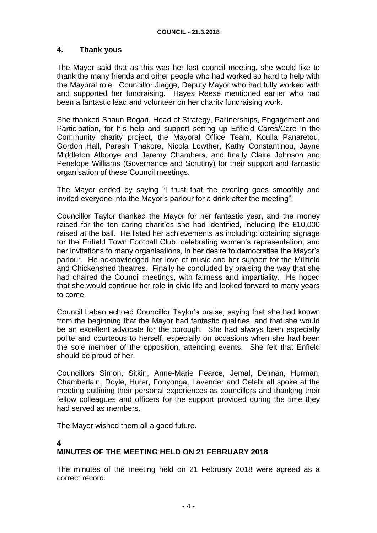### **4. Thank yous**

The Mayor said that as this was her last council meeting, she would like to thank the many friends and other people who had worked so hard to help with the Mayoral role. Councillor Jiagge, Deputy Mayor who had fully worked with and supported her fundraising. Hayes Reese mentioned earlier who had been a fantastic lead and volunteer on her charity fundraising work.

She thanked Shaun Rogan, Head of Strategy, Partnerships, Engagement and Participation, for his help and support setting up Enfield Cares/Care in the Community charity project, the Mayoral Office Team, Koulla Panaretou, Gordon Hall, Paresh Thakore, Nicola Lowther, Kathy Constantinou, Jayne Middleton Albooye and Jeremy Chambers, and finally Claire Johnson and Penelope Williams (Governance and Scrutiny) for their support and fantastic organisation of these Council meetings.

The Mayor ended by saying "I trust that the evening goes smoothly and invited everyone into the Mayor's parlour for a drink after the meeting".

Councillor Taylor thanked the Mayor for her fantastic year, and the money raised for the ten caring charities she had identified, including the £10,000 raised at the ball. He listed her achievements as including: obtaining signage for the Enfield Town Football Club: celebrating women's representation; and her invitations to many organisations, in her desire to democratise the Mayor's parlour. He acknowledged her love of music and her support for the Millfield and Chickenshed theatres. Finally he concluded by praising the way that she had chaired the Council meetings, with fairness and impartiality. He hoped that she would continue her role in civic life and looked forward to many years to come.

Council Laban echoed Councillor Taylor's praise, saying that she had known from the beginning that the Mayor had fantastic qualities, and that she would be an excellent advocate for the borough. She had always been especially polite and courteous to herself, especially on occasions when she had been the sole member of the opposition, attending events. She felt that Enfield should be proud of her.

Councillors Simon, Sitkin, Anne-Marie Pearce, Jemal, Delman, Hurman, Chamberlain, Doyle, Hurer, Fonyonga, Lavender and Celebi all spoke at the meeting outlining their personal experiences as councillors and thanking their fellow colleagues and officers for the support provided during the time they had served as members.

The Mayor wished them all a good future.

#### **4**

## **MINUTES OF THE MEETING HELD ON 21 FEBRUARY 2018**

The minutes of the meeting held on 21 February 2018 were agreed as a correct record.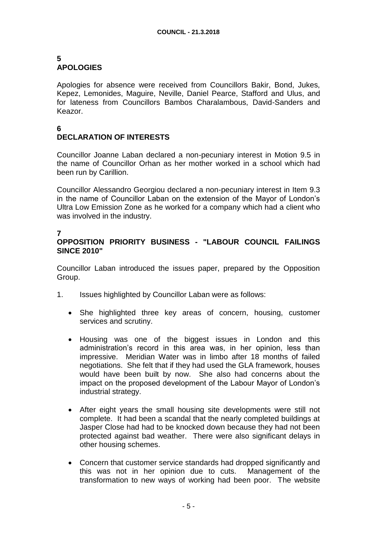#### **5 APOLOGIES**

Apologies for absence were received from Councillors Bakir, Bond, Jukes, Kepez, Lemonides, Maguire, Neville, Daniel Pearce, Stafford and Ulus, and for lateness from Councillors Bambos Charalambous, David-Sanders and Keazor.

#### **6 DECLARATION OF INTERESTS**

Councillor Joanne Laban declared a non-pecuniary interest in Motion 9.5 in the name of Councillor Orhan as her mother worked in a school which had been run by Carillion.

Councillor Alessandro Georgiou declared a non-pecuniary interest in Item 9.3 in the name of Councillor Laban on the extension of the Mayor of London's Ultra Low Emission Zone as he worked for a company which had a client who was involved in the industry.

## **7**

## **OPPOSITION PRIORITY BUSINESS - "LABOUR COUNCIL FAILINGS SINCE 2010"**

Councillor Laban introduced the issues paper, prepared by the Opposition Group.

- 1. Issues highlighted by Councillor Laban were as follows:
	- She highlighted three key areas of concern, housing, customer services and scrutiny.
	- Housing was one of the biggest issues in London and this administration's record in this area was, in her opinion, less than impressive. Meridian Water was in limbo after 18 months of failed negotiations. She felt that if they had used the GLA framework, houses would have been built by now. She also had concerns about the impact on the proposed development of the Labour Mayor of London's industrial strategy.
	- After eight years the small housing site developments were still not complete. It had been a scandal that the nearly completed buildings at Jasper Close had had to be knocked down because they had not been protected against bad weather. There were also significant delays in other housing schemes.
	- Concern that customer service standards had dropped significantly and this was not in her opinion due to cuts. Management of the transformation to new ways of working had been poor. The website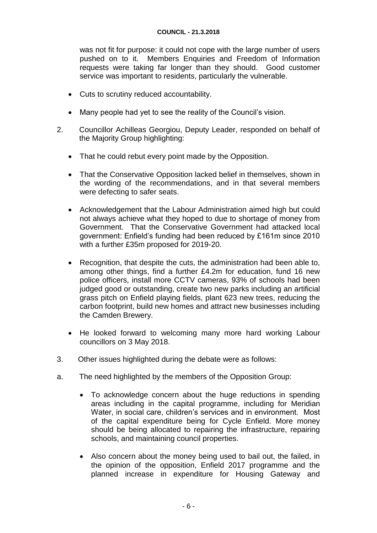was not fit for purpose: it could not cope with the large number of users pushed on to it. Members Enquiries and Freedom of Information requests were taking far longer than they should. Good customer service was important to residents, particularly the vulnerable.

- Cuts to scrutiny reduced accountability.
- Many people had yet to see the reality of the Council's vision.
- 2. Councillor Achilleas Georgiou, Deputy Leader, responded on behalf of the Majority Group highlighting:
	- That he could rebut every point made by the Opposition.
	- That the Conservative Opposition lacked belief in themselves, shown in the wording of the recommendations, and in that several members were defecting to safer seats.
	- Acknowledgement that the Labour Administration aimed high but could not always achieve what they hoped to due to shortage of money from Government. That the Conservative Government had attacked local government: Enfield's funding had been reduced by £161m since 2010 with a further £35m proposed for 2019-20.
	- Recognition, that despite the cuts, the administration had been able to, among other things, find a further £4.2m for education, fund 16 new police officers, install more CCTV cameras, 93% of schools had been judged good or outstanding, create two new parks including an artificial grass pitch on Enfield playing fields, plant 623 new trees, reducing the carbon footprint, build new homes and attract new businesses including the Camden Brewery.
	- He looked forward to welcoming many more hard working Labour councillors on 3 May 2018.
- 3. Other issues highlighted during the debate were as follows:
- a. The need highlighted by the members of the Opposition Group:
	- To acknowledge concern about the huge reductions in spending areas including in the capital programme, including for Meridian Water, in social care, children's services and in environment. Most of the capital expenditure being for Cycle Enfield. More money should be being allocated to repairing the infrastructure, repairing schools, and maintaining council properties.
	- Also concern about the money being used to bail out, the failed, in the opinion of the opposition, Enfield 2017 programme and the planned increase in expenditure for Housing Gateway and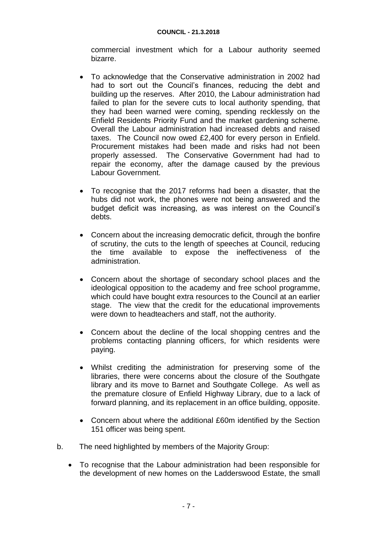commercial investment which for a Labour authority seemed bizarre.

- To acknowledge that the Conservative administration in 2002 had had to sort out the Council's finances, reducing the debt and building up the reserves. After 2010, the Labour administration had failed to plan for the severe cuts to local authority spending, that they had been warned were coming, spending recklessly on the Enfield Residents Priority Fund and the market gardening scheme. Overall the Labour administration had increased debts and raised taxes. The Council now owed £2,400 for every person in Enfield. Procurement mistakes had been made and risks had not been properly assessed. The Conservative Government had had to repair the economy, after the damage caused by the previous Labour Government.
- To recognise that the 2017 reforms had been a disaster, that the hubs did not work, the phones were not being answered and the budget deficit was increasing, as was interest on the Council's debts.
- Concern about the increasing democratic deficit, through the bonfire of scrutiny, the cuts to the length of speeches at Council, reducing the time available to expose the ineffectiveness of the administration.
- Concern about the shortage of secondary school places and the ideological opposition to the academy and free school programme, which could have bought extra resources to the Council at an earlier stage. The view that the credit for the educational improvements were down to headteachers and staff, not the authority.
- Concern about the decline of the local shopping centres and the problems contacting planning officers, for which residents were paying.
- Whilst crediting the administration for preserving some of the libraries, there were concerns about the closure of the Southgate library and its move to Barnet and Southgate College. As well as the premature closure of Enfield Highway Library, due to a lack of forward planning, and its replacement in an office building, opposite.
- Concern about where the additional £60m identified by the Section 151 officer was being spent.
- b. The need highlighted by members of the Majority Group:
	- To recognise that the Labour administration had been responsible for the development of new homes on the Ladderswood Estate, the small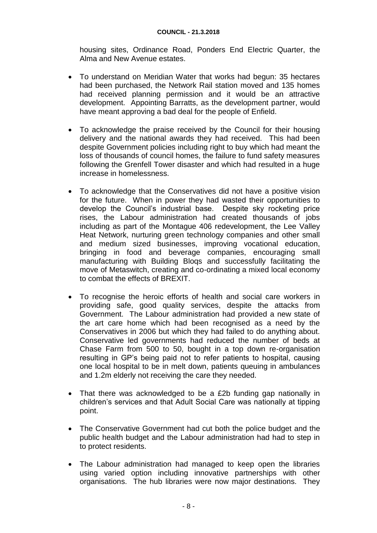housing sites, Ordinance Road, Ponders End Electric Quarter, the Alma and New Avenue estates.

- To understand on Meridian Water that works had begun: 35 hectares had been purchased, the Network Rail station moved and 135 homes had received planning permission and it would be an attractive development. Appointing Barratts, as the development partner, would have meant approving a bad deal for the people of Enfield.
- To acknowledge the praise received by the Council for their housing delivery and the national awards they had received. This had been despite Government policies including right to buy which had meant the loss of thousands of council homes, the failure to fund safety measures following the Grenfell Tower disaster and which had resulted in a huge increase in homelessness.
- To acknowledge that the Conservatives did not have a positive vision for the future. When in power they had wasted their opportunities to develop the Council's industrial base. Despite sky rocketing price rises, the Labour administration had created thousands of jobs including as part of the Montague 406 redevelopment, the Lee Valley Heat Network, nurturing green technology companies and other small and medium sized businesses, improving vocational education, bringing in food and beverage companies, encouraging small manufacturing with Building Bloqs and successfully facilitating the move of Metaswitch, creating and co-ordinating a mixed local economy to combat the effects of BREXIT.
- To recognise the heroic efforts of health and social care workers in providing safe, good quality services, despite the attacks from Government. The Labour administration had provided a new state of the art care home which had been recognised as a need by the Conservatives in 2006 but which they had failed to do anything about. Conservative led governments had reduced the number of beds at Chase Farm from 500 to 50, bought in a top down re-organisation resulting in GP's being paid not to refer patients to hospital, causing one local hospital to be in melt down, patients queuing in ambulances and 1.2m elderly not receiving the care they needed.
- That there was acknowledged to be a £2b funding gap nationally in children's services and that Adult Social Care was nationally at tipping point.
- The Conservative Government had cut both the police budget and the public health budget and the Labour administration had had to step in to protect residents.
- The Labour administration had managed to keep open the libraries using varied option including innovative partnerships with other organisations. The hub libraries were now major destinations. They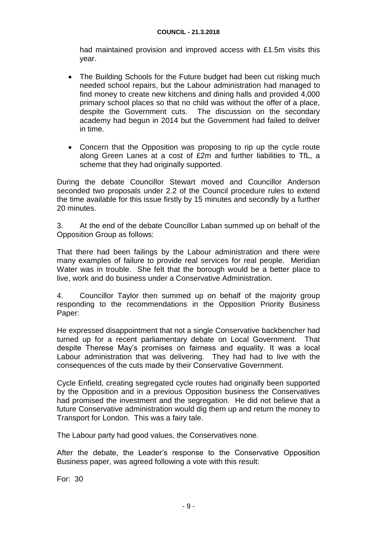had maintained provision and improved access with £1.5m visits this year.

- The Building Schools for the Future budget had been cut risking much needed school repairs, but the Labour administration had managed to find money to create new kitchens and dining halls and provided 4,000 primary school places so that no child was without the offer of a place, despite the Government cuts. The discussion on the secondary academy had begun in 2014 but the Government had failed to deliver in time.
- Concern that the Opposition was proposing to rip up the cycle route along Green Lanes at a cost of £2m and further liabilities to TfL, a scheme that they had originally supported.

During the debate Councillor Stewart moved and Councillor Anderson seconded two proposals under 2.2 of the Council procedure rules to extend the time available for this issue firstly by 15 minutes and secondly by a further 20 minutes.

3. At the end of the debate Councillor Laban summed up on behalf of the Opposition Group as follows:

That there had been failings by the Labour administration and there were many examples of failure to provide real services for real people. Meridian Water was in trouble. She felt that the borough would be a better place to live, work and do business under a Conservative Administration.

4. Councillor Taylor then summed up on behalf of the majority group responding to the recommendations in the Opposition Priority Business Paper:

He expressed disappointment that not a single Conservative backbencher had turned up for a recent parliamentary debate on Local Government. That despite Therese May's promises on fairness and equality. It was a local Labour administration that was delivering. They had had to live with the consequences of the cuts made by their Conservative Government.

Cycle Enfield, creating segregated cycle routes had originally been supported by the Opposition and in a previous Opposition business the Conservatives had promised the investment and the segregation. He did not believe that a future Conservative administration would dig them up and return the money to Transport for London. This was a fairy tale.

The Labour party had good values, the Conservatives none.

After the debate, the Leader's response to the Conservative Opposition Business paper, was agreed following a vote with this result:

For: 30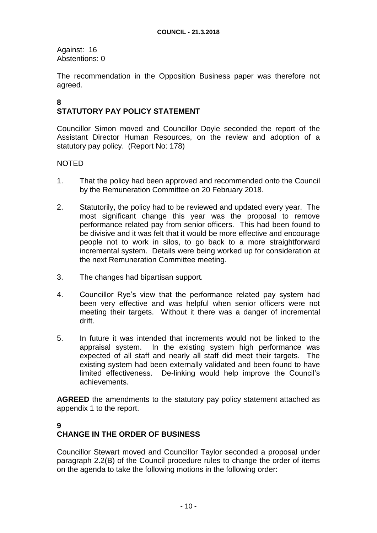Against: 16 Abstentions: 0

The recommendation in the Opposition Business paper was therefore not agreed.

#### **8 STATUTORY PAY POLICY STATEMENT**

Councillor Simon moved and Councillor Doyle seconded the report of the Assistant Director Human Resources, on the review and adoption of a statutory pay policy. (Report No: 178)

## NOTED

- 1. That the policy had been approved and recommended onto the Council by the Remuneration Committee on 20 February 2018.
- 2. Statutorily, the policy had to be reviewed and updated every year. The most significant change this year was the proposal to remove performance related pay from senior officers. This had been found to be divisive and it was felt that it would be more effective and encourage people not to work in silos, to go back to a more straightforward incremental system. Details were being worked up for consideration at the next Remuneration Committee meeting.
- 3. The changes had bipartisan support.
- 4. Councillor Rye's view that the performance related pay system had been very effective and was helpful when senior officers were not meeting their targets. Without it there was a danger of incremental drift.
- 5. In future it was intended that increments would not be linked to the appraisal system. In the existing system high performance was expected of all staff and nearly all staff did meet their targets. The existing system had been externally validated and been found to have limited effectiveness. De-linking would help improve the Council's achievements.

**AGREED** the amendments to the statutory pay policy statement attached as appendix 1 to the report.

## **9**

## **CHANGE IN THE ORDER OF BUSINESS**

Councillor Stewart moved and Councillor Taylor seconded a proposal under paragraph 2.2(B) of the Council procedure rules to change the order of items on the agenda to take the following motions in the following order: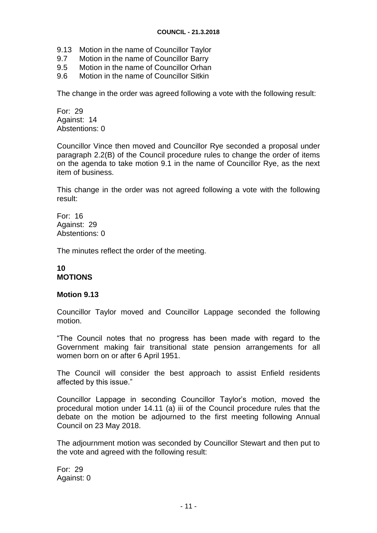- 9.13 Motion in the name of Councillor Taylor
- 9.7 Motion in the name of Councillor Barry
- 9.5 Motion in the name of Councillor Orhan
- 9.6 Motion in the name of Councillor Sitkin

The change in the order was agreed following a vote with the following result:

For: 29 Against: 14 Abstentions: 0

Councillor Vince then moved and Councillor Rye seconded a proposal under paragraph 2.2(B) of the Council procedure rules to change the order of items on the agenda to take motion 9.1 in the name of Councillor Rye, as the next item of business.

This change in the order was not agreed following a vote with the following result:

For: 16 Against: 29 Abstentions: 0

The minutes reflect the order of the meeting.

### **10 MOTIONS**

#### **Motion 9.13**

Councillor Taylor moved and Councillor Lappage seconded the following motion.

"The Council notes that no progress has been made with regard to the Government making fair transitional state pension arrangements for all women born on or after 6 April 1951.

The Council will consider the best approach to assist Enfield residents affected by this issue."

Councillor Lappage in seconding Councillor Taylor's motion, moved the procedural motion under 14.11 (a) iii of the Council procedure rules that the debate on the motion be adjourned to the first meeting following Annual Council on 23 May 2018.

The adjournment motion was seconded by Councillor Stewart and then put to the vote and agreed with the following result:

For: 29 Against: 0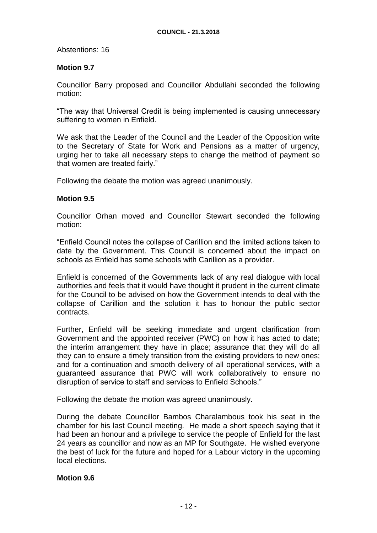Abstentions: 16

#### **Motion 9.7**

Councillor Barry proposed and Councillor Abdullahi seconded the following motion:

"The way that Universal Credit is being implemented is causing unnecessary suffering to women in Enfield.

We ask that the Leader of the Council and the Leader of the Opposition write to the Secretary of State for Work and Pensions as a matter of urgency, urging her to take all necessary steps to change the method of payment so that women are treated fairly."

Following the debate the motion was agreed unanimously.

#### **Motion 9.5**

Councillor Orhan moved and Councillor Stewart seconded the following motion:

"Enfield Council notes the collapse of Carillion and the limited actions taken to date by the Government. This Council is concerned about the impact on schools as Enfield has some schools with Carillion as a provider.

Enfield is concerned of the Governments lack of any real dialogue with local authorities and feels that it would have thought it prudent in the current climate for the Council to be advised on how the Government intends to deal with the collapse of Carillion and the solution it has to honour the public sector contracts.

Further, Enfield will be seeking immediate and urgent clarification from Government and the appointed receiver (PWC) on how it has acted to date; the interim arrangement they have in place; assurance that they will do all they can to ensure a timely transition from the existing providers to new ones; and for a continuation and smooth delivery of all operational services, with a guaranteed assurance that PWC will work collaboratively to ensure no disruption of service to staff and services to Enfield Schools."

Following the debate the motion was agreed unanimously.

During the debate Councillor Bambos Charalambous took his seat in the chamber for his last Council meeting. He made a short speech saying that it had been an honour and a privilege to service the people of Enfield for the last 24 years as councillor and now as an MP for Southgate. He wished everyone the best of luck for the future and hoped for a Labour victory in the upcoming local elections.

#### **Motion 9.6**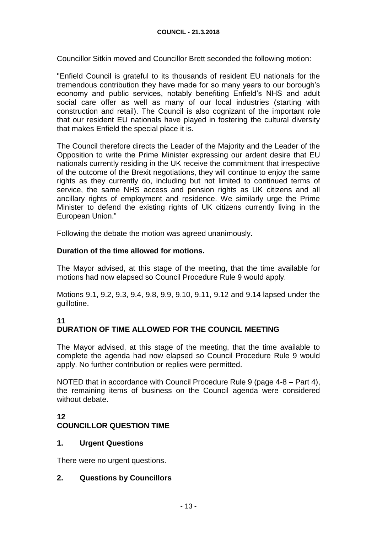Councillor Sitkin moved and Councillor Brett seconded the following motion:

"Enfield Council is grateful to its thousands of resident EU nationals for the tremendous contribution they have made for so many years to our borough's economy and public services, notably benefiting Enfield's NHS and adult social care offer as well as many of our local industries (starting with construction and retail). The Council is also cognizant of the important role that our resident EU nationals have played in fostering the cultural diversity that makes Enfield the special place it is.

The Council therefore directs the Leader of the Majority and the Leader of the Opposition to write the Prime Minister expressing our ardent desire that EU nationals currently residing in the UK receive the commitment that irrespective of the outcome of the Brexit negotiations, they will continue to enjoy the same rights as they currently do, including but not limited to continued terms of service, the same NHS access and pension rights as UK citizens and all ancillary rights of employment and residence. We similarly urge the Prime Minister to defend the existing rights of UK citizens currently living in the European Union."

Following the debate the motion was agreed unanimously.

### **Duration of the time allowed for motions.**

The Mayor advised, at this stage of the meeting, that the time available for motions had now elapsed so Council Procedure Rule 9 would apply.

Motions 9.1, 9.2, 9.3, 9.4, 9.8, 9.9, 9.10, 9.11, 9.12 and 9.14 lapsed under the guillotine.

## **11**

# **DURATION OF TIME ALLOWED FOR THE COUNCIL MEETING**

The Mayor advised, at this stage of the meeting, that the time available to complete the agenda had now elapsed so Council Procedure Rule 9 would apply. No further contribution or replies were permitted.

NOTED that in accordance with Council Procedure Rule 9 (page 4-8 – Part 4), the remaining items of business on the Council agenda were considered without debate.

## **12 COUNCILLOR QUESTION TIME**

#### **1. Urgent Questions**

There were no urgent questions.

## **2. Questions by Councillors**